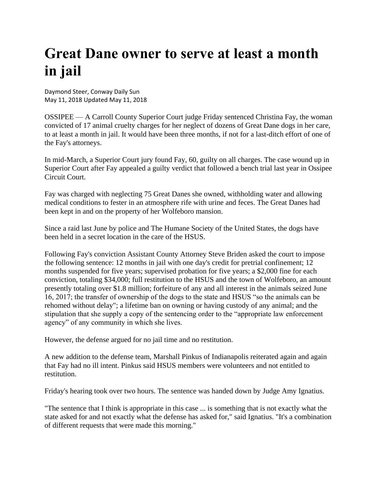## **Great Dane owner to serve at least a month in jail**

Daymond Steer, Conway Daily Sun May 11, 2018 Updated May 11, 2018

OSSIPEE — A Carroll County Superior Court judge Friday sentenced Christina Fay, the woman convicted of 17 animal cruelty charges for her neglect of dozens of Great Dane dogs in her care, to at least a month in jail. It would have been three months, if not for a last-ditch effort of one of the Fay's attorneys.

In mid-March, a Superior Court jury found Fay, 60, guilty on all charges. The case wound up in Superior Court after Fay appealed a guilty verdict that followed a bench trial last year in Ossipee Circuit Court.

Fay was charged with neglecting 75 Great Danes she owned, withholding water and allowing medical conditions to fester in an atmosphere rife with urine and feces. The Great Danes had been kept in and on the property of her Wolfeboro mansion.

Since a raid last June by police and The Humane Society of the United States, the dogs have been held in a secret location in the care of the HSUS.

Following Fay's conviction Assistant County Attorney Steve Briden asked the court to impose the following sentence: 12 months in jail with one day's credit for pretrial confinement; 12 months suspended for five years; supervised probation for five years; a \$2,000 fine for each conviction, totaling \$34,000; full restitution to the HSUS and the town of Wolfeboro, an amount presently totaling over \$1.8 million; forfeiture of any and all interest in the animals seized June 16, 2017; the transfer of ownership of the dogs to the state and HSUS "so the animals can be rehomed without delay"; a lifetime ban on owning or having custody of any animal; and the stipulation that she supply a copy of the sentencing order to the "appropriate law enforcement agency" of any community in which she lives.

However, the defense argued for no jail time and no restitution.

A new addition to the defense team, Marshall Pinkus of Indianapolis reiterated again and again that Fay had no ill intent. Pinkus said HSUS members were volunteers and not entitled to restitution.

Friday's hearing took over two hours. The sentence was handed down by Judge Amy Ignatius.

"The sentence that I think is appropriate in this case ... is something that is not exactly what the state asked for and not exactly what the defense has asked for," said Ignatius. "It's a combination of different requests that were made this morning."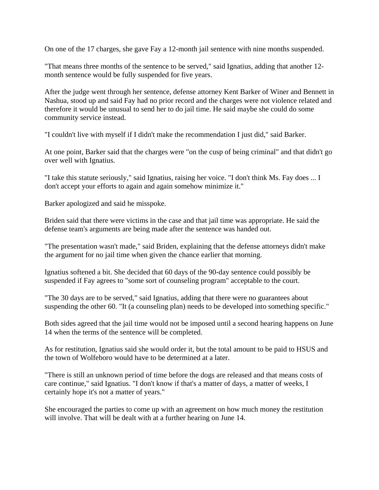On one of the 17 charges, she gave Fay a 12-month jail sentence with nine months suspended.

"That means three months of the sentence to be served," said Ignatius, adding that another 12 month sentence would be fully suspended for five years.

After the judge went through her sentence, defense attorney Kent Barker of Winer and Bennett in Nashua, stood up and said Fay had no prior record and the charges were not violence related and therefore it would be unusual to send her to do jail time. He said maybe she could do some community service instead.

"I couldn't live with myself if I didn't make the recommendation I just did," said Barker.

At one point, Barker said that the charges were "on the cusp of being criminal" and that didn't go over well with Ignatius.

"I take this statute seriously," said Ignatius, raising her voice. "I don't think Ms. Fay does ... I don't accept your efforts to again and again somehow minimize it."

Barker apologized and said he misspoke.

Briden said that there were victims in the case and that jail time was appropriate. He said the defense team's arguments are being made after the sentence was handed out.

"The presentation wasn't made," said Briden, explaining that the defense attorneys didn't make the argument for no jail time when given the chance earlier that morning.

Ignatius softened a bit. She decided that 60 days of the 90-day sentence could possibly be suspended if Fay agrees to "some sort of counseling program" acceptable to the court.

"The 30 days are to be served," said Ignatius, adding that there were no guarantees about suspending the other 60. "It (a counseling plan) needs to be developed into something specific."

Both sides agreed that the jail time would not be imposed until a second hearing happens on June 14 when the terms of the sentence will be completed.

As for restitution, Ignatius said she would order it, but the total amount to be paid to HSUS and the town of Wolfeboro would have to be determined at a later.

"There is still an unknown period of time before the dogs are released and that means costs of care continue," said Ignatius. "I don't know if that's a matter of days, a matter of weeks, I certainly hope it's not a matter of years."

She encouraged the parties to come up with an agreement on how much money the restitution will involve. That will be dealt with at a further hearing on June 14.